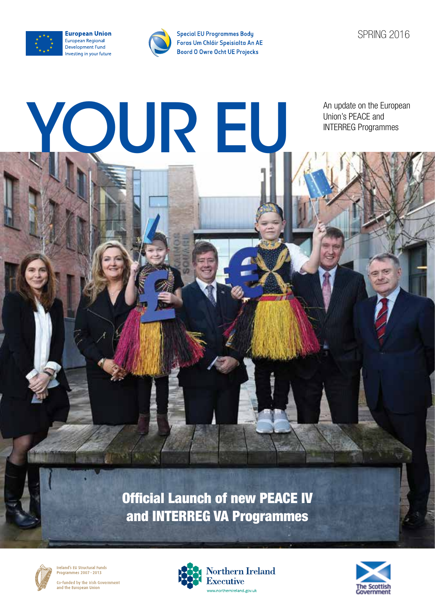

**European Union** European Regional Development Fund Investing in your future



YOUR EU

**Special EU Programmes Body** Foras Um Chláir Speisialta An AE **Boord O Owre Ocht UE Projecks** 

SPRING 2016

An update on the European Union's PEACE and<br>INTERREG Programmes

Official Launch of new PEACE IV and INTERREG VA Programmes



Ireland's EU Structural Funds Programmes 2007-2013 Co-funded by the Irish Government<br>and the European Union



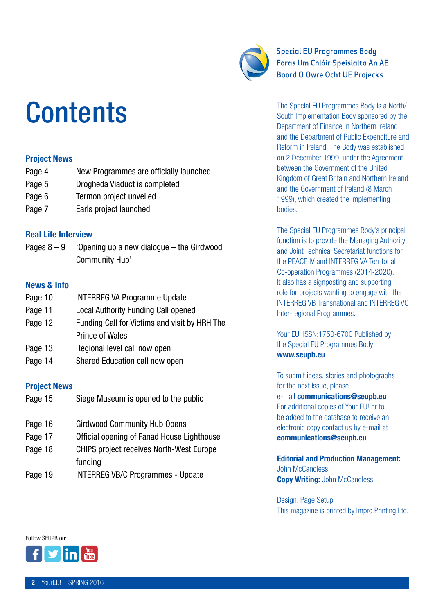#### YourEU! SPRING 2016

### **Contents**

#### Project News

- Page 4 New Programmes are officially launched
- Page 5 Drogheda Viaduct is completed
- Page 6 Termon project unveiled
- Page 7 Earls project launched

#### Real Life Interview

Pages  $8 - 9$  'Opening up a new dialogue – the Girdwood Community Hub'

#### News & Info

- Page 10 **INTERREG VA Programme Update**
- Page 11 Local Authority Funding Call opened
- Page 12 Funding Call for Victims and visit by HRH The Prince of Wales
- Page 13 Regional level call now open
- Page 14 Shared Education call now open

#### Project News

- Page 15 Siege Museum is opened to the public
- Page 16 Girdwood Community Hub Opens
- Page 17 Official opening of Fanad House Lighthouse
- Page 18 CHIPS project receives North-West Europe funding
- Page 19 **INTERREG VB/C Programmes Update**

### **Special EU Programmes Bodu** Foras Um Chláir Speisialta An AE **Boord O Owre Ocht UE Projecks**

The Special EU Programmes Body is a North/ South Implementation Body sponsored by the Department of Finance in Northern Ireland and the Department of Public Expenditure and Reform in Ireland. The Body was established on 2 December 1999, under the Agreement between the Government of the United Kingdom of Great Britain and Northern Ireland and the Government of Ireland (8 March 1999), which created the implementing bodies.

The Special EU Programmes Body's principal function is to provide the Managing Authority and Joint Technical Secretariat functions for the PEACE IV and INTERREG VA Territorial Co-operation Programmes (2014-2020). It also has a signposting and supporting role for projects wanting to engage with the INTERREG VB Transnational and INTERREG VC Inter-regional Programmes.

Your EU! ISSN:1750-6700 Published by the Special EU Programmes Body www.seupb.eu

To submit ideas, stories and photographs for the next issue, please e-mail communications@seupb.eu For additional copies of Your EU! or to be added to the database to receive an electronic copy contact us by e-mail at communications@seupb.eu

Editorial and Production Management: John McCandless **Copy Writing: John McCandless** 

Design: Page Setup This magazine is printed by Impro Printing Ltd.



Follow SEUPB on:

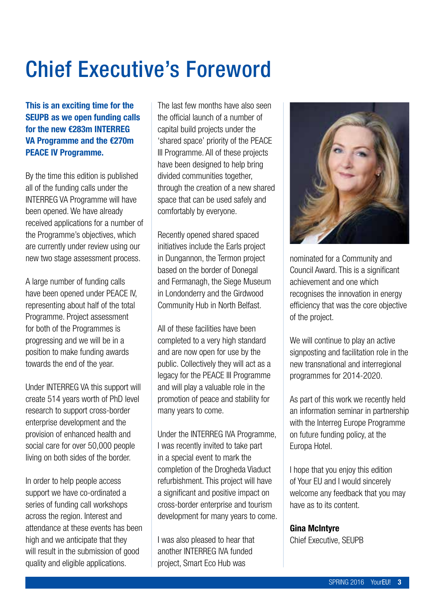### Chief Executive's Foreword

This is an exciting time for the SEUPB as we open funding calls for the new €283m INTERREG VA Programme and the €270m PEACE IV Programme.

By the time this edition is published all of the funding calls under the INTERREG VA Programme will have been opened. We have already received applications for a number of the Programme's objectives, which are currently under review using our new two stage assessment process.

A large number of funding calls have been opened under PEACE IV, representing about half of the total Programme. Project assessment for both of the Programmes is progressing and we will be in a position to make funding awards towards the end of the year.

Under INTERREG VA this support will create 514 years worth of PhD level research to support cross-border enterprise development and the provision of enhanced health and social care for over 50,000 people living on both sides of the border.

In order to help people access support we have co-ordinated a series of funding call workshops across the region. Interest and attendance at these events has been high and we anticipate that they will result in the submission of good quality and eligible applications.

The last few months have also seen the official launch of a number of capital build projects under the 'shared space' priority of the PEACE III Programme. All of these projects have been designed to help bring divided communities together, through the creation of a new shared space that can be used safely and comfortably by everyone.

Recently opened shared spaced initiatives include the Earls project in Dungannon, the Termon project based on the border of Donegal and Fermanagh, the Siege Museum in Londonderry and the Girdwood Community Hub in North Belfast.

All of these facilities have been completed to a very high standard and are now open for use by the public. Collectively they will act as a legacy for the PEACE III Programme and will play a valuable role in the promotion of peace and stability for many years to come.

Under the INTERREG IVA Programme, I was recently invited to take part in a special event to mark the completion of the Drogheda Viaduct refurbishment. This project will have a significant and positive impact on cross-border enterprise and tourism development for many years to come.

I was also pleased to hear that another INTERREG IVA funded project, Smart Eco Hub was



nominated for a Community and Council Award. This is a significant achievement and one which recognises the innovation in energy efficiency that was the core objective of the project.

We will continue to play an active signposting and facilitation role in the new transnational and interregional programmes for 2014-2020.

As part of this work we recently held an information seminar in partnership with the Interreg Europe Programme on future funding policy, at the Europa Hotel.

I hope that you enjoy this edition of Your EU and I would sincerely welcome any feedback that you may have as to its content.

#### Gina McIntyre

Chief Executive, SEUPB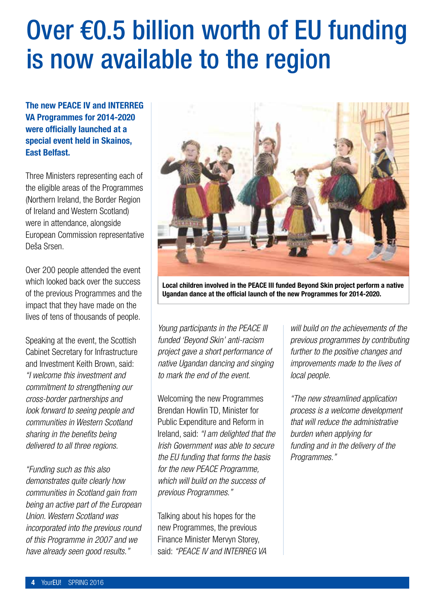### Over €0.5 billion worth of EU funding is now available to the region

The new PEACE IV and INTERREG VA Programmes for 2014-2020 were officially launched at a special event held in Skainos, East Belfast.

Three Ministers representing each of the eligible areas of the Programmes (Northern Ireland, the Border Region of Ireland and Western Scotland) were in attendance, alongside European Commission representative Deša Srsen.

Over 200 people attended the event which looked back over the success of the previous Programmes and the impact that they have made on the lives of tens of thousands of people.

Speaking at the event, the Scottish Cabinet Secretary for Infrastructure and Investment Keith Brown, said: *"I welcome this investment and commitment to strengthening our cross-border partnerships and look forward to seeing people and communities in Western Scotland sharing in the benefits being delivered to all three regions.* 

*"Funding such as this also demonstrates quite clearly how communities in Scotland gain from being an active part of the European Union. Western Scotland was incorporated into the previous round of this Programme in 2007 and we have already seen good results."* 



Local children involved in the PEACE III funded Beyond Skin project perform a native Ugandan dance at the official launch of the new Programmes for 2014-2020.

*Young participants in the PEACE III funded 'Beyond Skin' anti-racism project gave a short performance of native Ugandan dancing and singing to mark the end of the event.* 

Welcoming the new Programmes Brendan Howlin TD, Minister for Public Expenditure and Reform in Ireland, said: *"I am delighted that the Irish Government was able to secure the EU funding that forms the basis for the new PEACE Programme, which will build on the success of previous Programmes."* 

Talking about his hopes for the new Programmes, the previous Finance Minister Mervyn Storey, said: *"PEACE IV and INTERREG VA*  *will build on the achievements of the previous programmes by contributing further to the positive changes and improvements made to the lives of local people.* 

*"The new streamlined application process is a welcome development that will reduce the administrative burden when applying for funding and in the delivery of the Programmes."*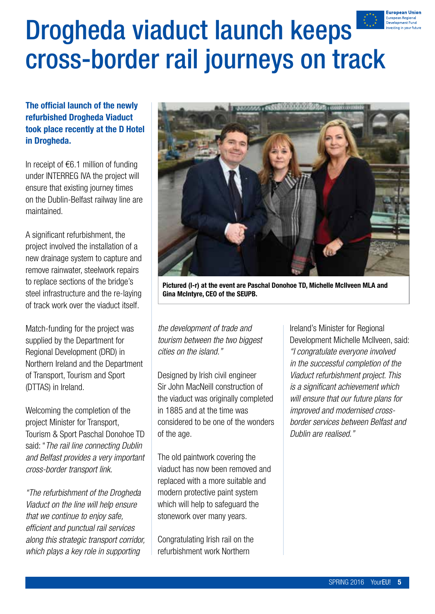### European Unior European Regiona<br>Development Func

### Drogheda viaduct launch keeps cross-border rail journeys on track

### The official launch of the newly refurbished Drogheda Viaduct took place recently at the D Hotel in Drogheda.

In receipt of  $€6.1$  million of funding under INTERREG IVA the project will ensure that existing journey times on the Dublin-Belfast railway line are maintained.

A significant refurbishment, the project involved the installation of a new drainage system to capture and remove rainwater, steelwork repairs to replace sections of the bridge's steel infrastructure and the re-laying of track work over the viaduct itself.

Match-funding for the project was supplied by the Department for Regional Development (DRD) in Northern Ireland and the Department of Transport, Tourism and Sport (DTTAS) in Ireland.

Welcoming the completion of the project Minister for Transport, Tourism & Sport Paschal Donohoe TD said: "*The rail line connecting Dublin and Belfast provides a very important cross-border transport link.* 

*"The refurbishment of the Drogheda Viaduct on the line will help ensure that we continue to enjoy safe, efficient and punctual rail services along this strategic transport corridor, which plays a key role in supporting* 



Pictured (l-r) at the event are Paschal Donohoe TD, Michelle McIlveen MLA and Gina McIntyre, CEO of the SEUPB.

*the development of trade and tourism between the two biggest cities on the island."* 

Designed by Irish civil engineer Sir John MacNeill construction of the viaduct was originally completed in 1885 and at the time was considered to be one of the wonders of the age.

The old paintwork covering the viaduct has now been removed and replaced with a more suitable and modern protective paint system which will help to safeguard the stonework over many years.

Congratulating Irish rail on the refurbishment work Northern

Ireland's Minister for Regional Development Michelle McIlveen, said: *"I congratulate everyone involved in the successful completion of the Viaduct refurbishment project. This is a significant achievement which will ensure that our future plans for improved and modernised crossborder services between Belfast and Dublin are realised."*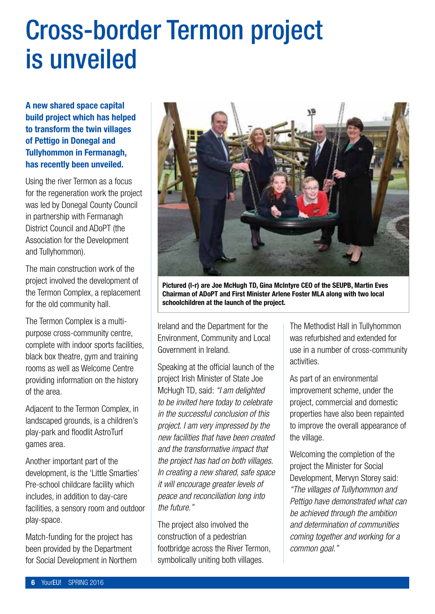### Cross-border Termon project is unveiled

A new shared space capital build project which has helped to transform the twin villages of Pettigo in Donegal and Tullyhommon in Fermanagh, has recently been unveiled.

Using the river Termon as a focus for the regeneration work the project was led by Donegal County Council in partnership with Fermanagh District Council and ADoPT (the Association for the Development and Tullyhommon).

The main construction work of the project involved the development of the Termon Complex, a replacement for the old community hall.

The Termon Complex is a multipurpose cross-community centre, complete with indoor sports facilities, black box theatre, gym and training rooms as well as Welcome Centre providing information on the history of the area.

Adjacent to the Termon Complex, in landscaped grounds, is a children's play-park and floodlit AstroTurf games area.

Another important part of the development, is the 'Little Smarties' Pre-school childcare facility which includes, in addition to day-care facilities, a sensory room and outdoor play-space.

Match-funding for the project has been provided by the Department for Social Development in Northern



Pictured (l-r) are Joe McHugh TD, Gina McIntyre CEO of the SEUPB, Martin Eves Chairman of ADoPT and First Minister Arlene Foster MLA along with two local schoolchildren at the launch of the project.

Ireland and the Department for the Environment, Community and Local Government in Ireland.

Speaking at the official launch of the project Irish Minister of State Joe McHugh TD, said: *"I am delighted to be invited here today to celebrate in the successful conclusion of this project. I am very impressed by the new facilities that have been created and the transformative impact that the project has had on both villages. In creating a new shared, safe space it will encourage greater levels of peace and reconciliation long into the future."* 

The project also involved the construction of a pedestrian footbridge across the River Termon, symbolically uniting both villages.

The Methodist Hall in Tullyhommon was refurbished and extended for use in a number of cross-community activities.

As part of an environmental improvement scheme, under the project, commercial and domestic properties have also been repainted to improve the overall appearance of the village.

Welcoming the completion of the project the Minister for Social Development, Mervyn Storey said: *"The villages of Tullyhommon and Pettigo have demonstrated what can be achieved through the ambition and determination of communities coming together and working for a common goal."*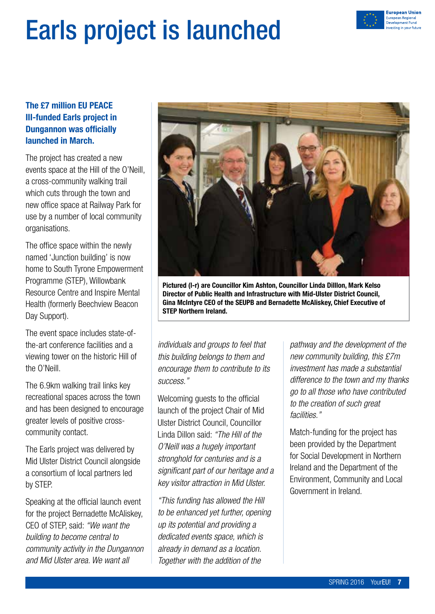

### Earls project is launched

### The £7 million EU PEACE III-funded Earls project in Dungannon was officially launched in March.

The project has created a new events space at the Hill of the O'Neill, a cross-community walking trail which cuts through the town and new office space at Railway Park for use by a number of local community organisations.

The office space within the newly named 'Junction building' is now home to South Tyrone Empowerment Programme (STEP), Willowbank Resource Centre and Inspire Mental Health (formerly Beechview Beacon Day Support).

The event space includes state-ofthe-art conference facilities and a viewing tower on the historic Hill of the O'Neill.

The 6.9km walking trail links key recreational spaces across the town and has been designed to encourage greater levels of positive crosscommunity contact.

The Earls project was delivered by Mid Ulster District Council alongside a consortium of local partners led by STEP.

Speaking at the official launch event for the project Bernadette McAliskey, CEO of STEP, said: *"We want the building to become central to community activity in the Dungannon and Mid Ulster area. We want all* 



Pictured (l-r) are Councillor Kim Ashton, Councillor Linda Dilllon, Mark Kelso Director of Public Health and Infrastructure with Mid-Ulster District Council, Gina McIntyre CEO of the SEUPB and Bernadette McAliskey, Chief Executive of STEP Northern Ireland.

*individuals and groups to feel that this building belongs to them and encourage them to contribute to its success."* 

Welcoming guests to the official launch of the project Chair of Mid Ulster District Council, Councillor Linda Dillon said: *"The Hill of the O'Neill was a hugely important stronghold for centuries and is a significant part of our heritage and a key visitor attraction in Mid Ulster.* 

*"This funding has allowed the Hill to be enhanced yet further, opening up its potential and providing a dedicated events space, which is already in demand as a location. Together with the addition of the* 

*pathway and the development of the new community building, this £7m investment has made a substantial difference to the town and my thanks go to all those who have contributed to the creation of such great facilities."* 

Match-funding for the project has been provided by the Department for Social Development in Northern Ireland and the Department of the Environment, Community and Local Government in Ireland.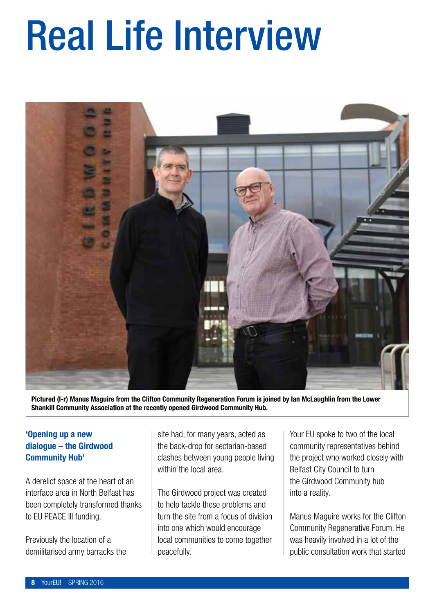# Real Life Interview



Pictured (l-r) Manus Maguire from the Clifton Community Regeneration Forum is joined by Ian McLaughlin from the Lower Shankill Community Association at the recently opened Girdwood Community Hub.

#### 'Opening up a new dialogue – the Girdwood Community Hub'

A derelict space at the heart of an interface area in North Belfast has been completely transformed thanks to EU PEACE III funding.

Previously the location of a demilitarised army barracks the site had, for many years, acted as the back-drop for sectarian-based clashes between young people living within the local area.

The Girdwood project was created to help tackle these problems and turn the site from a focus of division into one which would encourage local communities to come together peacefully.

Your EU spoke to two of the local community representatives behind the project who worked closely with Belfast City Council to turn the Girdwood Community hub into a reality.

Manus Maguire works for the Clifton Community Regenerative Forum. He was heavily involved in a lot of the public consultation work that started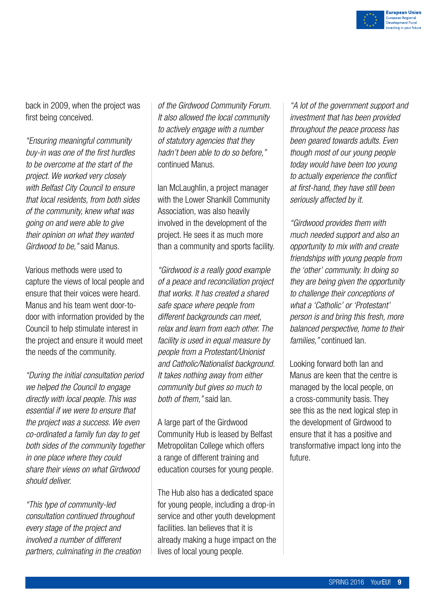

back in 2009, when the project was first being conceived.

*"Ensuring meaningful community buy-in was one of the first hurdles to be overcome at the start of the project. We worked very closely with Belfast City Council to ensure that local residents, from both sides of the community, knew what was going on and were able to give their opinion on what they wanted Girdwood to be,"* said Manus.

Various methods were used to capture the views of local people and ensure that their voices were heard. Manus and his team went door-todoor with information provided by the Council to help stimulate interest in the project and ensure it would meet the needs of the community.

*"During the initial consultation period we helped the Council to engage directly with local people. This was essential if we were to ensure that the project was a success. We even co-ordinated a family fun day to get both sides of the community together in one place where they could share their views on what Girdwood should deliver.* 

*"This type of community-led consultation continued throughout every stage of the project and involved a number of different partners, culminating in the creation* 

*of the Girdwood Community Forum. It also allowed the local community to actively engage with a number of statutory agencies that they hadn't been able to do so before,"* continued Manus.

Ian McLaughlin, a project manager with the Lower Shankill Community Association, was also heavily involved in the development of the project. He sees it as much more than a community and sports facility.

*"Girdwood is a really good example of a peace and reconciliation project that works. It has created a shared safe space where people from different backgrounds can meet, relax and learn from each other. The facility is used in equal measure by people from a Protestant/Unionist and Catholic/Nationalist background. It takes nothing away from either community but gives so much to both of them,"* said Ian.

A large part of the Girdwood Community Hub is leased by Belfast Metropolitan College which offers a range of different training and education courses for young people.

The Hub also has a dedicated space for young people, including a drop-in service and other youth development facilities. Ian believes that it is already making a huge impact on the lives of local young people.

*"A lot of the government support and investment that has been provided throughout the peace process has been geared towards adults. Even though most of our young people today would have been too young to actually experience the conflict at first-hand, they have still been seriously affected by it.* 

*"Girdwood provides them with much needed support and also an opportunity to mix with and create friendships with young people from the 'other' community. In doing so they are being given the opportunity to challenge their conceptions of what a 'Catholic' or 'Protestant' person is and bring this fresh, more balanced perspective, home to their families,"* continued Ian.

Looking forward both Ian and Manus are keen that the centre is managed by the local people, on a cross-community basis. They see this as the next logical step in the development of Girdwood to ensure that it has a positive and transformative impact long into the future.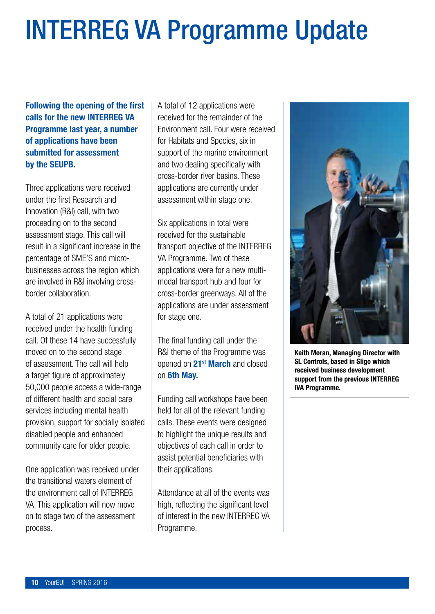### INTERREG VA Programme Update

Following the opening of the first calls for the new INTERREG VA Programme last year, a number of applications have been submitted for assessment by the SEUPB.

Three applications were received under the first Research and Innovation (R&I) call, with two proceeding on to the second assessment stage. This call will result in a significant increase in the percentage of SME'S and microbusinesses across the region which are involved in R&I involving crossborder collaboration.

A total of 21 applications were received under the health funding call. Of these 14 have successfully moved on to the second stage of assessment. The call will help a target figure of approximately 50,000 people access a wide-range of different health and social care services including mental health provision, support for socially isolated disabled people and enhanced community care for older people.

One application was received under the transitional waters element of the environment call of INTERREG VA. This application will now move on to stage two of the assessment process.

A total of 12 applications were received for the remainder of the Environment call. Four were received for Habitats and Species, six in support of the marine environment and two dealing specifically with cross-border river basins. These applications are currently under assessment within stage one.

Six applications in total were received for the sustainable transport objective of the INTERREG VA Programme. Two of these applications were for a new multimodal transport hub and four for cross-border greenways. All of the applications are under assessment for stage one.

The final funding call under the R&I theme of the Programme was opened on 21<sup>st</sup> March and closed on 6th May.

Funding call workshops have been held for all of the relevant funding calls. These events were designed to highlight the unique results and objectives of each call in order to assist potential beneficiaries with their applications.

Attendance at all of the events was high, reflecting the significant level of interest in the new INTERREG VA Programme.



Keith Moran, Managing Director with SL Controls, based in Sligo which received business development support from the previous INTERREG IVA Programme.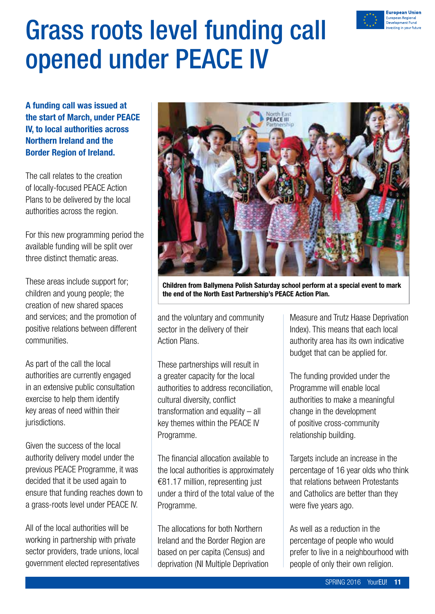

### Grass roots level funding call opened under PEACE IV

A funding call was issued at the start of March, under PEACE IV, to local authorities across Northern Ireland and the Border Region of Ireland.

The call relates to the creation of locally-focused PEACE Action Plans to be delivered by the local authorities across the region.

For this new programming period the available funding will be split over three distinct thematic areas.

These areas include support for; children and young people; the creation of new shared spaces and services; and the promotion of positive relations between different communities.

As part of the call the local authorities are currently engaged in an extensive public consultation exercise to help them identify key areas of need within their jurisdictions.

Given the success of the local authority delivery model under the previous PEACE Programme, it was decided that it be used again to ensure that funding reaches down to a grass-roots level under PEACE IV.

All of the local authorities will be working in partnership with private sector providers, trade unions, local government elected representatives



Children from Ballymena Polish Saturday school perform at a special event to mark the end of the North East Partnership's PEACE Action Plan.

and the voluntary and community sector in the delivery of their Action Plans.

These partnerships will result in a greater capacity for the local authorities to address reconciliation, cultural diversity, conflict transformation and equality – all key themes within the PEACE IV Programme.

The financial allocation available to the local authorities is approximately €81.17 million, representing just under a third of the total value of the Programme.

The allocations for both Northern Ireland and the Border Region are based on per capita (Census) and deprivation (NI Multiple Deprivation Measure and Trutz Haase Deprivation Index). This means that each local authority area has its own indicative budget that can be applied for.

The funding provided under the Programme will enable local authorities to make a meaningful change in the development of positive cross-community relationship building.

Targets include an increase in the percentage of 16 year olds who think that relations between Protestants and Catholics are better than they were five years ago.

As well as a reduction in the percentage of people who would prefer to live in a neighbourhood with people of only their own religion.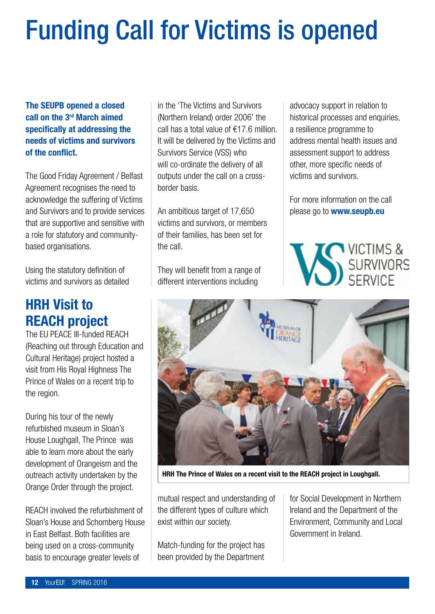### Funding Call for Victims is opened

### The SEUPB opened a closed call on the 3rd March aimed specifically at addressing the needs of victims and survivors of the conflict.

The Good Friday Agreement / Belfast Agreement recognises the need to acknowledge the suffering of Victims and Survivors and to provide services that are supportive and sensitive with a role for statutory and communitybased organisations.

Using the statutory definition of victims and survivors as detailed

### HRH Visit to REACH project

The EU PEACE III-funded REACH (Reaching out through Education and Cultural Heritage) project hosted a visit from His Royal Highness The Prince of Wales on a recent trip to the region.

During his tour of the newly refurbished museum in Sloan's House Loughgall, The Prince was able to learn more about the early development of Orangeism and the outreach activity undertaken by the Orange Order through the project.

REACH involved the refurbishment of Sloan's House and Schomberg House in East Belfast. Both facilities are being used on a cross-community basis to encourage greater levels of

in the 'The Victims and Survivors (Northern Ireland) order 2006' the call has a total value of €17.6 million. It will be delivered by the Victims and Survivors Service (VSS) who will co-ordinate the delivery of all outputs under the call on a crossborder basis.

An ambitious target of 17,650 victims and survivors, or members of their families, has been set for the call.

They will benefit from a range of different interventions including

advocacy support in relation to historical processes and enquiries, a resilience programme to address mental health issues and assessment support to address other, more specific needs of victims and survivors.

For more information on the call please go to **www.seupb.eu** 





HRH The Prince of Wales on a recent visit to the REACH project in Loughgall.

mutual respect and understanding of the different types of culture which exist within our society.

Match-funding for the project has been provided by the Department

for Social Development in Northern Ireland and the Department of the Environment, Community and Local Government in Ireland.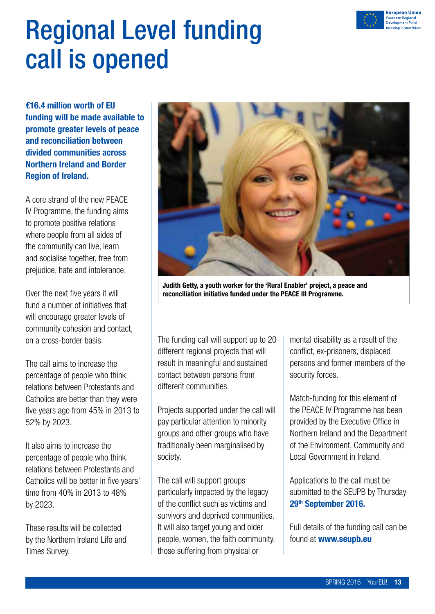

### Regional Level funding call is opened

€16.4 million worth of EU funding will be made available to promote greater levels of peace and reconciliation between divided communities across Northern Ireland and Border Region of Ireland.

A core strand of the new PEACE IV Programme, the funding aims to promote positive relations where people from all sides of the community can live, learn and socialise together, free from prejudice, hate and intolerance.

Over the next five years it will fund a number of initiatives that will encourage greater levels of community cohesion and contact, on a cross-border basis.

The call aims to increase the percentage of people who think relations between Protestants and Catholics are better than they were five years ago from 45% in 2013 to 52% by 2023.

It also aims to increase the percentage of people who think relations between Protestants and Catholics will be better in five years' time from 40% in 2013 to 48% by 2023.

These results will be collected by the Northern Ireland Life and Times Survey.



Judith Getty, a youth worker for the 'Rural Enabler' project, a peace and reconciliation initiative funded under the PEACE III Programme.

The funding call will support up to 20 different regional projects that will result in meaningful and sustained contact between persons from different communities.

Projects supported under the call will pay particular attention to minority groups and other groups who have traditionally been marginalised by society.

The call will support groups particularly impacted by the legacy of the conflict such as victims and survivors and deprived communities. It will also target young and older people, women, the faith community, those suffering from physical or

mental disability as a result of the conflict, ex-prisoners, displaced persons and former members of the security forces.

Match-funding for this element of the PEACE IV Programme has been provided by the Executive Office in Northern Ireland and the Department of the Environment, Community and Local Government in Ireland.

Applications to the call must be submitted to the SEUPB by Thursday 29th September 2016.

Full details of the funding call can be found at **www.seupb.eu**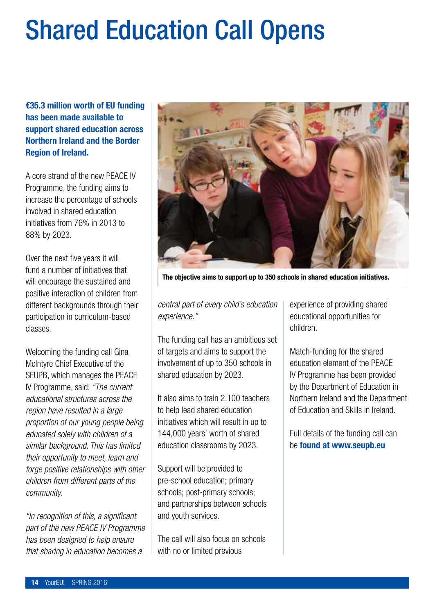### Shared Education Call Opens

€35.3 million worth of EU funding has been made available to support shared education across Northern Ireland and the Border Region of Ireland.

A core strand of the new PEACE IV Programme, the funding aims to increase the percentage of schools involved in shared education initiatives from 76% in 2013 to 88% by 2023.

Over the next five years it will fund a number of initiatives that will encourage the sustained and positive interaction of children from different backgrounds through their participation in curriculum-based classes.

Welcoming the funding call Gina McIntyre Chief Executive of the SEUPB, which manages the PEACE IV Programme, said: *"The current educational structures across the region have resulted in a large proportion of our young people being educated solely with children of a similar background. This has limited their opportunity to meet, learn and forge positive relationships with other children from different parts of the community.* 

*"In recognition of this, a significant part of the new PEACE IV Programme has been designed to help ensure that sharing in education becomes a* 



The objective aims to support up to 350 schools in shared education initiatives.

*central part of every child's education experience."* 

The funding call has an ambitious set of targets and aims to support the involvement of up to 350 schools in shared education by 2023.

It also aims to train 2,100 teachers to help lead shared education initiatives which will result in up to 144,000 years' worth of shared education classrooms by 2023.

Support will be provided to pre-school education; primary schools; post-primary schools; and partnerships between schools and youth services.

The call will also focus on schools with no or limited previous

experience of providing shared educational opportunities for children.

Match-funding for the shared education element of the PEACE IV Programme has been provided by the Department of Education in Northern Ireland and the Department of Education and Skills in Ireland.

Full details of the funding call can be found at www.seupb.eu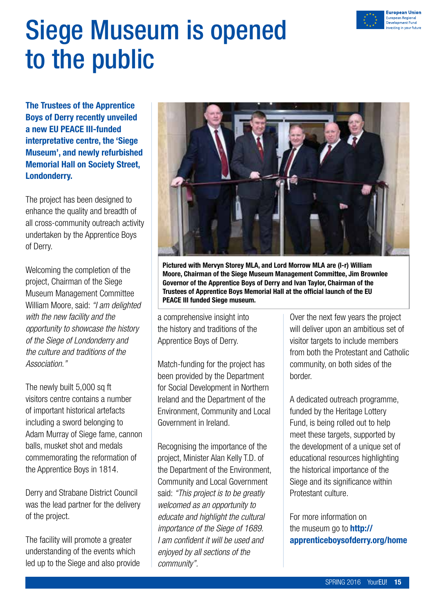

### Siege Museum is opened to the public

The Trustees of the Apprentice Boys of Derry recently unveiled a new EU PEACE III-funded interpretative centre, the 'Siege Museum', and newly refurbished Memorial Hall on Society Street, Londonderry.

The project has been designed to enhance the quality and breadth of all cross-community outreach activity undertaken by the Apprentice Boys of Derry.

Welcoming the completion of the project, Chairman of the Siege Museum Management Committee William Moore, said: *"I am delighted with the new facility and the opportunity to showcase the history of the Siege of Londonderry and the culture and traditions of the Association."*

The newly built 5,000 sq ft visitors centre contains a number of important historical artefacts including a sword belonging to Adam Murray of Siege fame, cannon balls, musket shot and medals commemorating the reformation of the Apprentice Boys in 1814.

Derry and Strabane District Council was the lead partner for the delivery of the project.

The facility will promote a greater understanding of the events which led up to the Siege and also provide



Pictured with Mervyn Storey MLA, and Lord Morrow MLA are (l-r) William Moore, Chairman of the Siege Museum Management Committee, Jim Brownlee Governor of the Apprentice Boys of Derry and Ivan Taylor, Chairman of the Trustees of Apprentice Boys Memorial Hall at the official launch of the EU PEACE III funded Siege museum.

a comprehensive insight into the history and traditions of the Apprentice Boys of Derry.

Match-funding for the project has been provided by the Department for Social Development in Northern Ireland and the Department of the Environment, Community and Local Government in Ireland.

Recognising the importance of the project, Minister Alan Kelly T.D. of the Department of the Environment, Community and Local Government said: *"This project is to be greatly welcomed as an opportunity to educate and highlight the cultural importance of the Siege of 1689. I am confident it will be used and enjoyed by all sections of the community".*

Over the next few years the project will deliver upon an ambitious set of visitor targets to include members from both the Protestant and Catholic community, on both sides of the border.

A dedicated outreach programme, funded by the Heritage Lottery Fund, is being rolled out to help meet these targets, supported by the development of a unique set of educational resources highlighting the historical importance of the Siege and its significance within Protestant culture.

For more information on the museum go to **http://** apprenticeboysofderry.org/home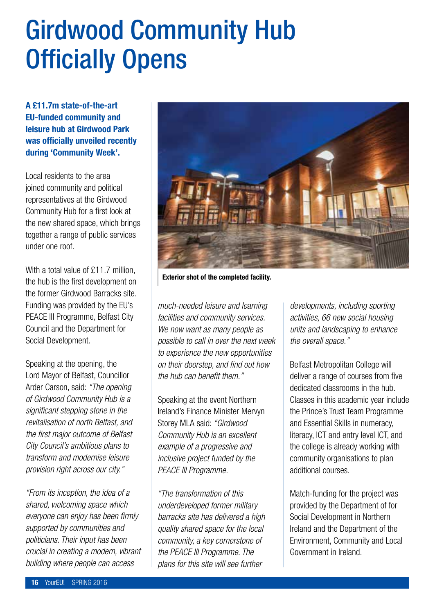### Girdwood Community Hub Officially Opens

A £11.7m state-of-the-art EU-funded community and leisure hub at Girdwood Park was officially unveiled recently during 'Community Week'.

Local residents to the area joined community and political representatives at the Girdwood Community Hub for a first look at the new shared space, which brings together a range of public services under one roof.

With a total value of £11.7 million. the hub is the first development on the former Girdwood Barracks site. Funding was provided by the EU's PEACE III Programme, Belfast City Council and the Department for Social Development.

Speaking at the opening, the Lord Mayor of Belfast, Councillor Arder Carson, said: *"The opening of Girdwood Community Hub is a significant stepping stone in the revitalisation of north Belfast, and the first major outcome of Belfast City Council's ambitious plans to transform and modernise leisure provision right across our city."*

*"From its inception, the idea of a shared, welcoming space which everyone can enjoy has been firmly supported by communities and politicians. Their input has been crucial in creating a modern, vibrant building where people can access* 



Exterior shot of the completed facility.

*much-needed leisure and learning facilities and community services. We now want as many people as possible to call in over the next week to experience the new opportunities on their doorstep, and find out how the hub can benefit them."* 

Speaking at the event Northern Ireland's Finance Minister Mervyn Storey MLA said: *"Girdwood Community Hub is an excellent example of a progressive and inclusive project funded by the PEACE III Programme.* 

*"The transformation of this underdeveloped former military barracks site has delivered a high quality shared space for the local community, a key cornerstone of the PEACE III Programme. The plans for this site will see further* 

*developments, including sporting activities, 66 new social housing units and landscaping to enhance the overall space."* 

Belfast Metropolitan College will deliver a range of courses from five dedicated classrooms in the hub. Classes in this academic year include the Prince's Trust Team Programme and Essential Skills in numeracy, literacy, ICT and entry level ICT, and the college is already working with community organisations to plan additional courses.

Match-funding for the project was provided by the Department of for Social Development in Northern Ireland and the Department of the Environment, Community and Local Government in Ireland.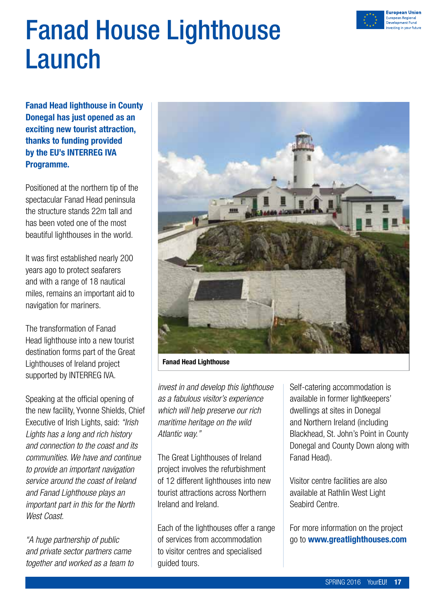

### Fanad House Lighthouse Launch

Fanad Head lighthouse in County Donegal has just opened as an exciting new tourist attraction, thanks to funding provided by the EU's INTERREG IVA Programme.

Positioned at the northern tip of the spectacular Fanad Head peninsula the structure stands 22m tall and has been voted one of the most beautiful lighthouses in the world.

It was first established nearly 200 years ago to protect seafarers and with a range of 18 nautical miles, remains an important aid to navigation for mariners.

The transformation of Fanad Head lighthouse into a new tourist destination forms part of the Great Lighthouses of Ireland project supported by INTERREG IVA.

Speaking at the official opening of the new facility, Yvonne Shields, Chief Executive of Irish Lights, said: *"Irish Lights has a long and rich history and connection to the coast and its communities. We have and continue to provide an important navigation service around the coast of Ireland and Fanad Lighthouse plays an important part in this for the North West Coast.*

*"A huge partnership of public and private sector partners came together and worked as a team to* 



Fanad Head Lighthouse

*invest in and develop this lighthouse as a fabulous visitor's experience which will help preserve our rich maritime heritage on the wild Atlantic way."*

The Great Lighthouses of Ireland project involves the refurbishment of 12 different lighthouses into new tourist attractions across Northern Ireland and Ireland.

Each of the lighthouses offer a range of services from accommodation to visitor centres and specialised guided tours.

Self-catering accommodation is available in former lightkeepers' dwellings at sites in Donegal and Northern Ireland (including Blackhead, St. John's Point in County Donegal and County Down along with Fanad Head).

Visitor centre facilities are also available at Rathlin West Light Seabird Centre.

For more information on the project go to www.greatlighthouses.com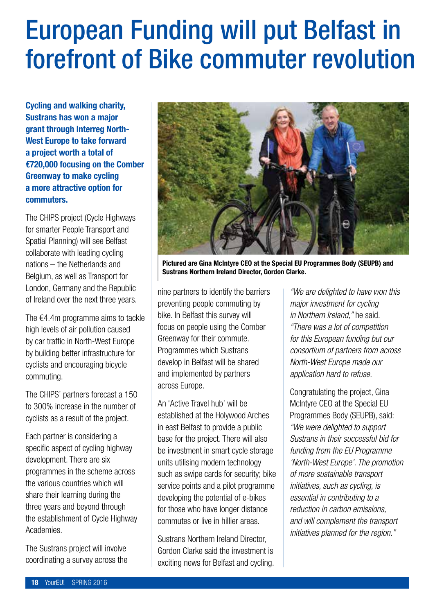### European Funding will put Belfast in forefront of Bike commuter revolution

Cycling and walking charity, Sustrans has won a major grant through Interreg North-West Europe to take forward a project worth a total of €720,000 focusing on the Comber Greenway to make cycling a more attractive option for commuters.

The CHIPS project (Cycle Highways for smarter People Transport and Spatial Planning) will see Belfast collaborate with leading cycling nations – the Netherlands and Belgium, as well as Transport for London, Germany and the Republic of Ireland over the next three years.

The €4.4m programme aims to tackle high levels of air pollution caused by car traffic in North-West Europe by building better infrastructure for cyclists and encouraging bicycle commuting.

The CHIPS' partners forecast a 150 to 300% increase in the number of cyclists as a result of the project.

Each partner is considering a specific aspect of cycling highway development. There are six programmes in the scheme across the various countries which will share their learning during the three years and beyond through the establishment of Cycle Highway Academies.

The Sustrans project will involve coordinating a survey across the



Pictured are Gina McIntyre CEO at the Special EU Programmes Body (SEUPB) and Sustrans Northern Ireland Director, Gordon Clarke.

nine partners to identify the barriers preventing people commuting by bike. In Belfast this survey will focus on people using the Comber Greenway for their commute. Programmes which Sustrans develop in Belfast will be shared and implemented by partners across Europe.

An 'Active Travel hub' will be established at the Holywood Arches in east Belfast to provide a public base for the project. There will also be investment in smart cycle storage units utilising modern technology such as swipe cards for security; bike service points and a pilot programme developing the potential of e-bikes for those who have longer distance commutes or live in hillier areas.

Sustrans Northern Ireland Director, Gordon Clarke said the investment is exciting news for Belfast and cycling.

*"We are delighted to have won this major investment for cycling in Northern Ireland,"* he said. *"There was a lot of competition for this European funding but our consortium of partners from across North-West Europe made our application hard to refuse.*

Congratulating the project, Gina McIntyre CEO at the Special EU Programmes Body (SEUPB), said: *"We were delighted to support Sustrans in their successful bid for funding from the EU Programme 'North-West Europe'. The promotion of more sustainable transport initiatives, such as cycling, is essential in contributing to a reduction in carbon emissions, and will complement the transport initiatives planned for the region."*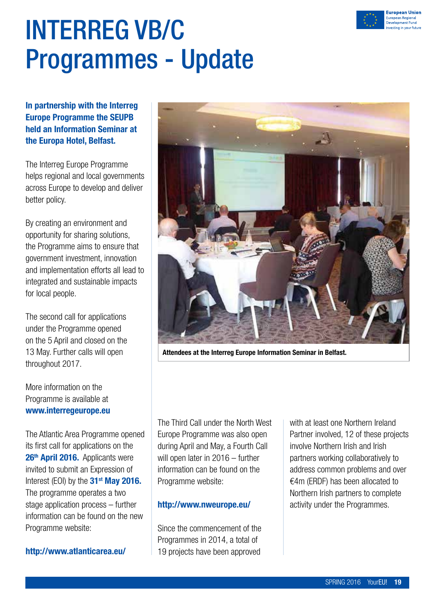

### INTERREG VB/C Programmes - Update

In partnership with the Interreg Europe Programme the SEUPB held an Information Seminar at the Europa Hotel, Belfast.

The Interreg Europe Programme helps regional and local governments across Europe to develop and deliver better policy.

By creating an environment and opportunity for sharing solutions, the Programme aims to ensure that government investment, innovation and implementation efforts all lead to integrated and sustainable impacts for local people.

The second call for applications under the Programme opened on the 5 April and closed on the 13 May. Further calls will open throughout 2017.

More information on the Programme is available at www.interregeurope.eu

The Atlantic Area Programme opened its first call for applications on the 26<sup>th</sup> April 2016. Applicants were invited to submit an Expression of Interest (EOI) by the 31<sup>st</sup> May 2016. The programme operates a two stage application process – further information can be found on the new Programme website:

#### http://www.atlanticarea.eu/



Attendees at the Interreg Europe Information Seminar in Belfast.

The Third Call under the North West Europe Programme was also open during April and May, a Fourth Call will open later in 2016 – further information can be found on the Programme website:

#### http://www.nweurope.eu/

Since the commencement of the Programmes in 2014, a total of 19 projects have been approved

with at least one Northern Ireland Partner involved, 12 of these projects involve Northern Irish and Irish partners working collaboratively to address common problems and over €4m (ERDF) has been allocated to Northern Irish partners to complete activity under the Programmes.